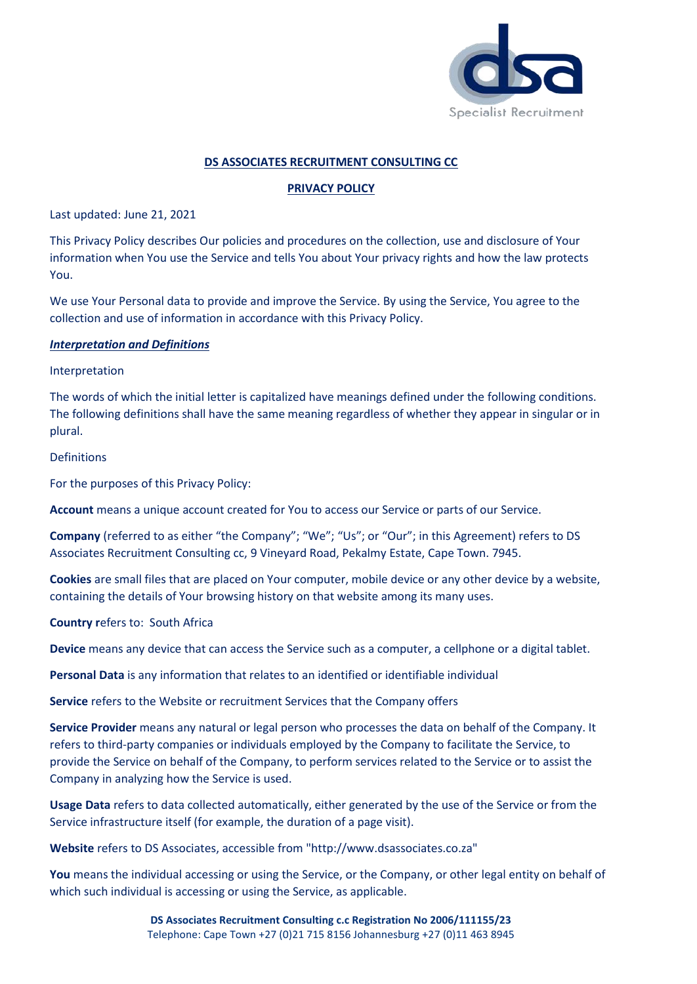

# **DS ASSOCIATES RECRUITMENT CONSULTING CC**

#### **PRIVACY POLICY**

Last updated: June 21, 2021

This Privacy Policy describes Our policies and procedures on the collection, use and disclosure of Your information when You use the Service and tells You about Your privacy rights and how the law protects You.

We use Your Personal data to provide and improve the Service. By using the Service, You agree to the collection and use of information in accordance with this Privacy Policy.

# *Interpretation and Definitions*

#### Interpretation

The words of which the initial letter is capitalized have meanings defined under the following conditions. The following definitions shall have the same meaning regardless of whether they appear in singular or in plural.

#### Definitions

For the purposes of this Privacy Policy:

Account means a unique account created for You to access our Service or parts of our Service.

**Company** (referred to as either "the Company"; "We"; "Us"; or "Our"; in this Agreement) refers to DS Associates Recruitment Consulting cc, 9 Vineyard Road, Pekalmy Estate, Cape Town. 7945.

**Cookies** are small files that are placed on Your computer, mobile device or any other device by a website, containing the details of Your browsing history on that website among its many uses.

# **Country r**efers to: South Africa

**Device** means any device that can access the Service such as a computer, a cellphone or a digital tablet.

**Personal Data** is any information that relates to an identified or identifiable individual

**Service** refers to the Website or recruitment Services that the Company offers

**Service Provider** means any natural or legal person who processes the data on behalf of the Company. It refers to third-party companies or individuals employed by the Company to facilitate the Service, to provide the Service on behalf of the Company, to perform services related to the Service or to assist the Company in analyzing how the Service is used.

**Usage Data** refers to data collected automatically, either generated by the use of the Service or from the Service infrastructure itself (for example, the duration of a page visit).

**Website** refers to DS Associates, accessible from "http://www.dsassociates.co.za"

You means the individual accessing or using the Service, or the Company, or other legal entity on behalf of which such individual is accessing or using the Service, as applicable.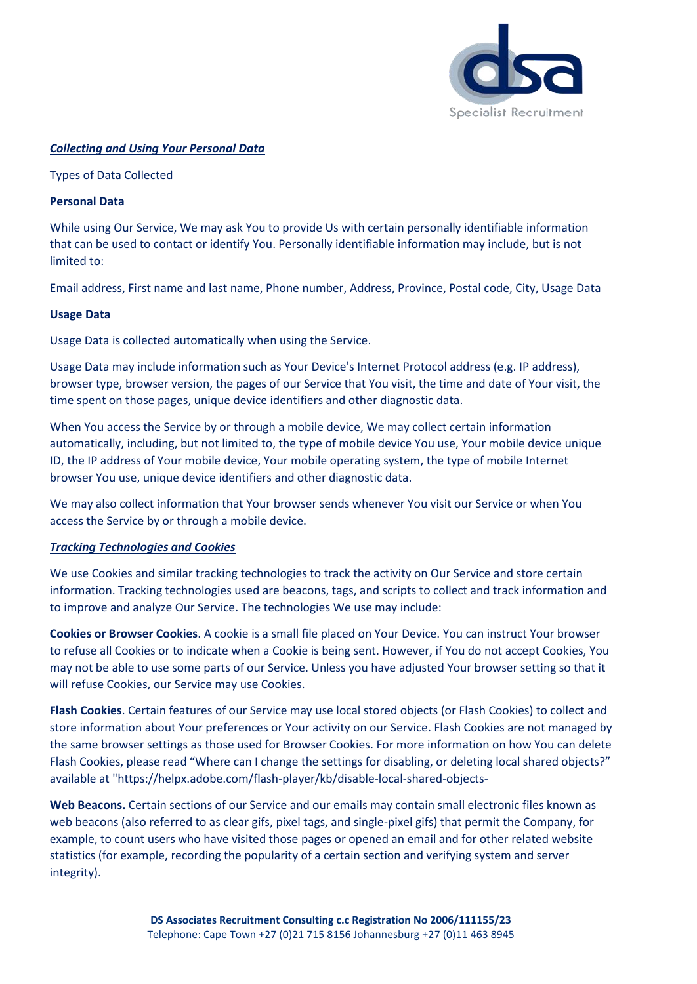

#### *Collecting and Using Your Personal Data*

Types of Data Collected

#### **Personal Data**

While using Our Service, We may ask You to provide Us with certain personally identifiable information that can be used to contact or identify You. Personally identifiable information may include, but is not limited to:

Email address, First name and last name, Phone number, Address, Province, Postal code, City, Usage Data

# **Usage Data**

Usage Data is collected automatically when using the Service.

Usage Data may include information such as Your Device's Internet Protocol address (e.g. IP address), browser type, browser version, the pages of our Service that You visit, the time and date of Your visit, the time spent on those pages, unique device identifiers and other diagnostic data.

When You access the Service by or through a mobile device, We may collect certain information automatically, including, but not limited to, the type of mobile device You use, Your mobile device unique ID, the IP address of Your mobile device, Your mobile operating system, the type of mobile Internet browser You use, unique device identifiers and other diagnostic data.

We may also collect information that Your browser sends whenever You visit our Service or when You access the Service by or through a mobile device.

# *Tracking Technologies and Cookies*

We use Cookies and similar tracking technologies to track the activity on Our Service and store certain information. Tracking technologies used are beacons, tags, and scripts to collect and track information and to improve and analyze Our Service. The technologies We use may include:

**Cookies or Browser Cookies**. A cookie is a small file placed on Your Device. You can instruct Your browser to refuse all Cookies or to indicate when a Cookie is being sent. However, if You do not accept Cookies, You may not be able to use some parts of our Service. Unless you have adjusted Your browser setting so that it will refuse Cookies, our Service may use Cookies.

**Flash Cookies**. Certain features of our Service may use local stored objects (or Flash Cookies) to collect and store information about Your preferences or Your activity on our Service. Flash Cookies are not managed by the same browser settings as those used for Browser Cookies. For more information on how You can delete Flash Cookies, please read "Where can I change the settings for disabling, or deleting local shared objects?" available at "https://helpx.adobe.com/flash-player/kb/disable-local-shared-objects-

**Web Beacons.** Certain sections of our Service and our emails may contain small electronic files known as web beacons (also referred to as clear gifs, pixel tags, and single-pixel gifs) that permit the Company, for example, to count users who have visited those pages or opened an email and for other related website statistics (for example, recording the popularity of a certain section and verifying system and server integrity).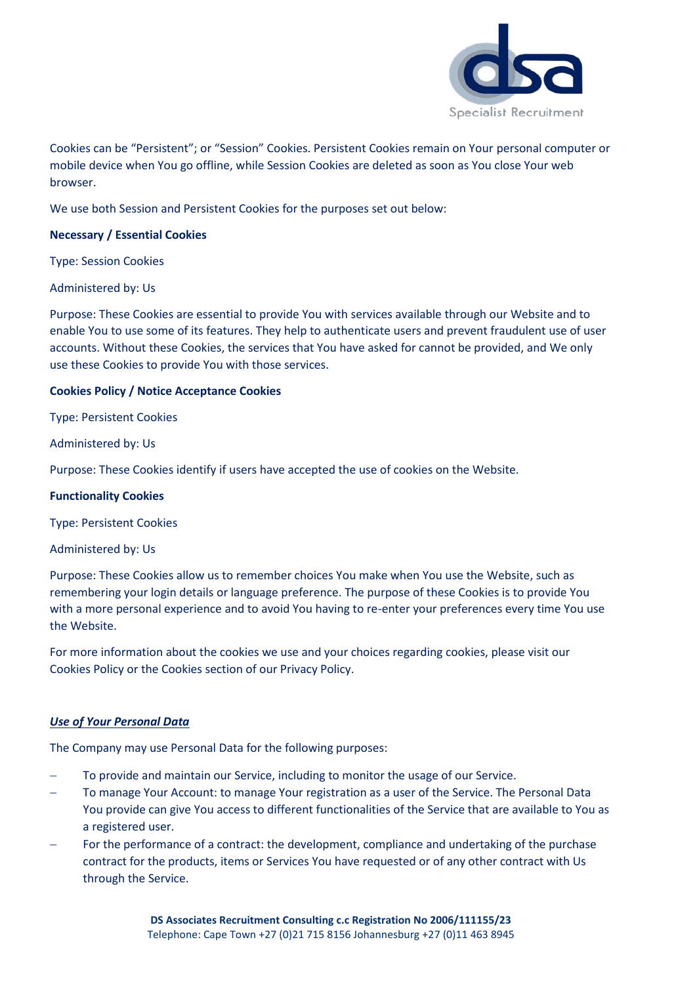

Cookies can be "Persistent"; or "Session" Cookies. Persistent Cookies remain on Your personal computer or mobile device when You go offline, while Session Cookies are deleted as soon as You close Your web browser.

We use both Session and Persistent Cookies for the purposes set out below:

# **Necessary / Essential Cookies**

Type: Session Cookies

Administered by: Us

Purpose: These Cookies are essential to provide You with services available through our Website and to enable You to use some of its features. They help to authenticate users and prevent fraudulent use of user accounts. Without these Cookies, the services that You have asked for cannot be provided, and We only use these Cookies to provide You with those services.

# **Cookies Policy / Notice Acceptance Cookies**

Type: Persistent Cookies

Administered by: Us

Purpose: These Cookies identify if users have accepted the use of cookies on the Website.

#### **Functionality Cookies**

Type: Persistent Cookies

Administered by: Us

Purpose: These Cookies allow us to remember choices You make when You use the Website, such as remembering your login details or language preference. The purpose of these Cookies is to provide You with a more personal experience and to avoid You having to re-enter your preferences every time You use the Website.

For more information about the cookies we use and your choices regarding cookies, please visit our Cookies Policy or the Cookies section of our Privacy Policy.

# *Use of Your Personal Data*

The Company may use Personal Data for the following purposes:

- To provide and maintain our Service, including to monitor the usage of our Service.
- To manage Your Account: to manage Your registration as a user of the Service. The Personal Data You provide can give You access to different functionalities of the Service that are available to You as a registered user.
- For the performance of a contract: the development, compliance and undertaking of the purchase contract for the products, items or Services You have requested or of any other contract with Us through the Service.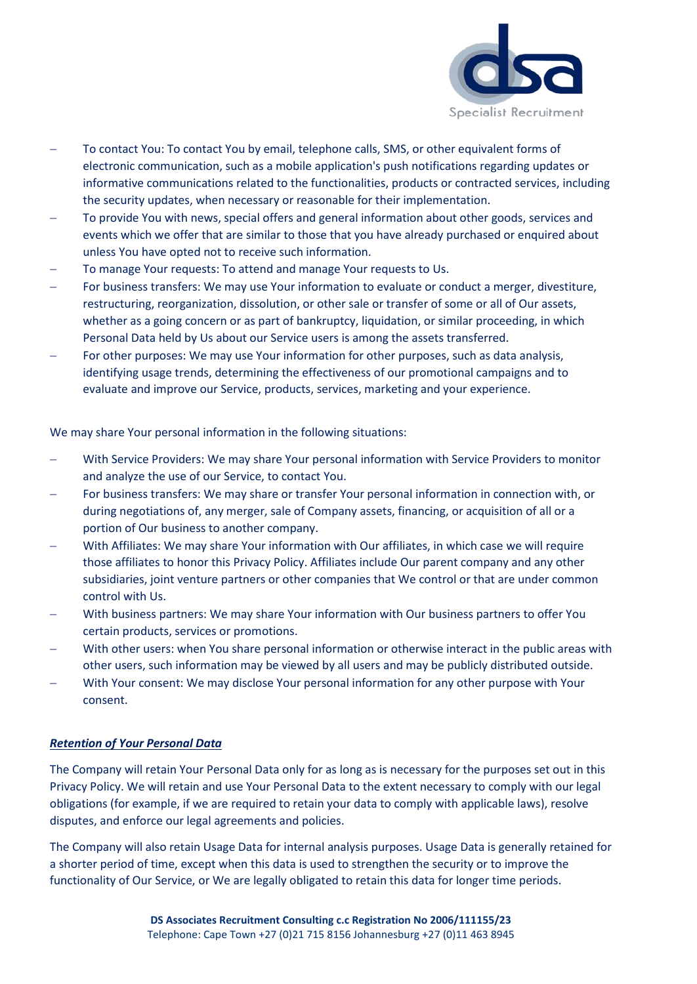

- To contact You: To contact You by email, telephone calls, SMS, or other equivalent forms of electronic communication, such as a mobile application's push notifications regarding updates or informative communications related to the functionalities, products or contracted services, including the security updates, when necessary or reasonable for their implementation.
- To provide You with news, special offers and general information about other goods, services and events which we offer that are similar to those that you have already purchased or enquired about unless You have opted not to receive such information.
- To manage Your requests: To attend and manage Your requests to Us.
- For business transfers: We may use Your information to evaluate or conduct a merger, divestiture, restructuring, reorganization, dissolution, or other sale or transfer of some or all of Our assets, whether as a going concern or as part of bankruptcy, liquidation, or similar proceeding, in which Personal Data held by Us about our Service users is among the assets transferred.
- For other purposes: We may use Your information for other purposes, such as data analysis, identifying usage trends, determining the effectiveness of our promotional campaigns and to evaluate and improve our Service, products, services, marketing and your experience.

We may share Your personal information in the following situations:

- With Service Providers: We may share Your personal information with Service Providers to monitor and analyze the use of our Service, to contact You.
- For business transfers: We may share or transfer Your personal information in connection with, or during negotiations of, any merger, sale of Company assets, financing, or acquisition of all or a portion of Our business to another company.
- With Affiliates: We may share Your information with Our affiliates, in which case we will require those affiliates to honor this Privacy Policy. Affiliates include Our parent company and any other subsidiaries, joint venture partners or other companies that We control or that are under common control with Us.
- With business partners: We may share Your information with Our business partners to offer You certain products, services or promotions.
- With other users: when You share personal information or otherwise interact in the public areas with other users, such information may be viewed by all users and may be publicly distributed outside.
- With Your consent: We may disclose Your personal information for any other purpose with Your consent.

# *Retention of Your Personal Data*

The Company will retain Your Personal Data only for as long as is necessary for the purposes set out in this Privacy Policy. We will retain and use Your Personal Data to the extent necessary to comply with our legal obligations (for example, if we are required to retain your data to comply with applicable laws), resolve disputes, and enforce our legal agreements and policies.

The Company will also retain Usage Data for internal analysis purposes. Usage Data is generally retained for a shorter period of time, except when this data is used to strengthen the security or to improve the functionality of Our Service, or We are legally obligated to retain this data for longer time periods.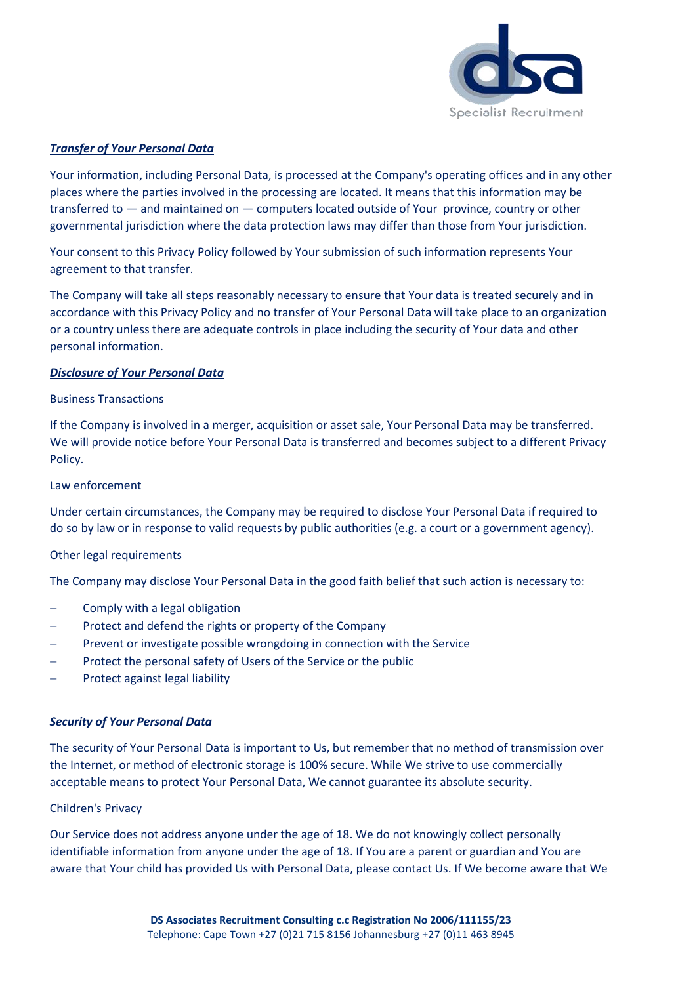

# *Transfer of Your Personal Data*

Your information, including Personal Data, is processed at the Company's operating offices and in any other places where the parties involved in the processing are located. It means that this information may be transferred to — and maintained on — computers located outside of Your province, country or other governmental jurisdiction where the data protection laws may differ than those from Your jurisdiction.

Your consent to this Privacy Policy followed by Your submission of such information represents Your agreement to that transfer.

The Company will take all steps reasonably necessary to ensure that Your data is treated securely and in accordance with this Privacy Policy and no transfer of Your Personal Data will take place to an organization or a country unless there are adequate controls in place including the security of Your data and other personal information.

#### *Disclosure of Your Personal Data*

#### Business Transactions

If the Company is involved in a merger, acquisition or asset sale, Your Personal Data may be transferred. We will provide notice before Your Personal Data is transferred and becomes subject to a different Privacy Policy.

#### Law enforcement

Under certain circumstances, the Company may be required to disclose Your Personal Data if required to do so by law or in response to valid requests by public authorities (e.g. a court or a government agency).

# Other legal requirements

The Company may disclose Your Personal Data in the good faith belief that such action is necessary to:

- Comply with a legal obligation
- Protect and defend the rights or property of the Company
- Prevent or investigate possible wrongdoing in connection with the Service
- Protect the personal safety of Users of the Service or the public
- Protect against legal liability

# *Security of Your Personal Data*

The security of Your Personal Data is important to Us, but remember that no method of transmission over the Internet, or method of electronic storage is 100% secure. While We strive to use commercially acceptable means to protect Your Personal Data, We cannot guarantee its absolute security.

#### Children's Privacy

Our Service does not address anyone under the age of 18. We do not knowingly collect personally identifiable information from anyone under the age of 18. If You are a parent or guardian and You are aware that Your child has provided Us with Personal Data, please contact Us. If We become aware that We